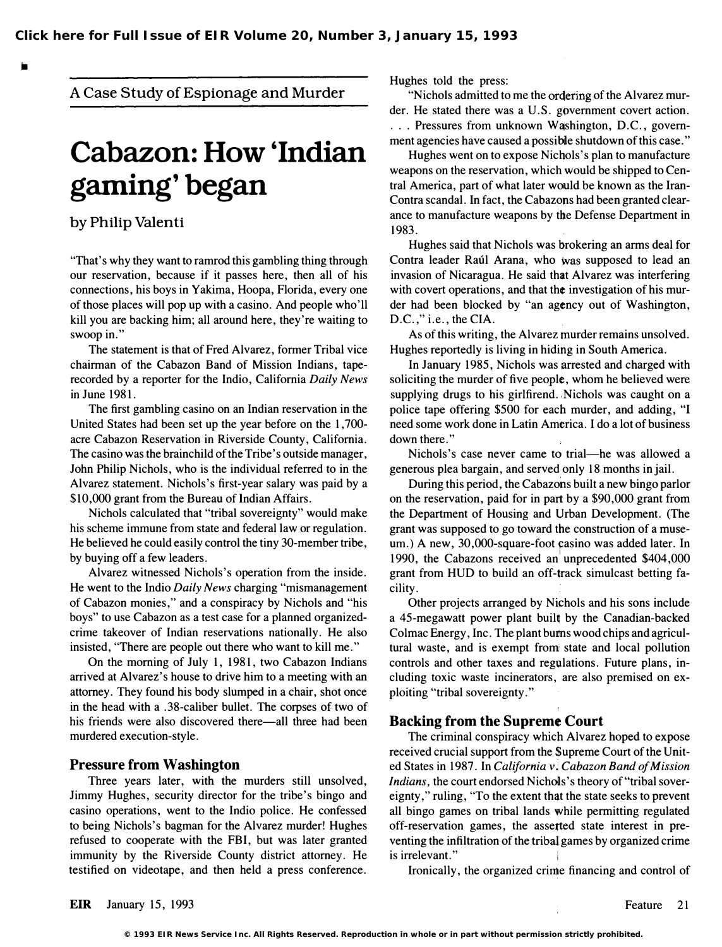A Case Study of Espionage and Murder

# Cabazon: How 'Indian gaming' began

by Philip Valenti

"That's why they want to ramrod this gambling thing through our reservation, because if it passes here, then all of his connections, his boys in Yakima, Hoopa, Florida, every one of those places will pop up with a casino. And people who'll kill you are backing him; all around here, they're waiting to swoop in."

The statement is that of Fred Alvarez, former Tribal vice chairman of the Cabazon Band of Mission Indians, taperecorded by a reporter for the Indio, California Daily News in June 1981.

The first gambling casino on an Indian reservation in the United States had been set up the year before on the 1,700 acre Cabazon Reservation in Riverside County, California. The casino was the brainchild of the Tribe's outside manager, John Philip Nichols, who is the individual referred to in the Alvarez statement. Nichols's first-year salary was paid by a \$10,000 grant from the Bureau of Indian Affairs.

Nichols calculated that "tribal sovereignty" would make his scheme immune from state and federal law or regulation. He believed he could easily control the tiny 30-member tribe, by buying off a few leaders.

Alvarez witnessed Nichols's operation from the inside. He went to the Indio Daily News charging "mismanagement of Cabazon monies," and a conspiracy by Nichols and "his boys" to use Cabazon as a test case for a planned organizedcrime takeover of Indian reservations nationally. He also insisted, 'There are people out there who want to kill me."

On the morning of July 1, 1981, two Cabazon Indians arrived at Alvarez's house to drive him to a meeting with an attorney. They found his body slumped in a chair, shot once in the head with a .38-caliber bullet. The corpses of two of his friends were also discovered there—all three had been murdered execution-style.

#### Pressure from Washington

Three years later, with the murders still unsolved, Jimmy Hughes, security director for the tribe's bingo and casino operations, went to the Indio police. He confessed to being Nichols's bagman for the Alvarez murder! Hughes refused to cooperate with the FBI, but was later granted immunity by the Riverside County district attorney. He testified on videotape, and then held a press conference.

Hughes told the press:

"Nichols admitted to me the ordering of the Alvarez murder. He stated there was a U.S. government covert action. . . . Pressures from unknown W�shington, D.C., government agencies have caused a possible shutdown of this case."

Hughes went on to expose Nichols's plan to manufacture weapons on the reservation, which would be shipped to Central America, part of what later would be known as the Iran-Contra scandal. In fact, the Cabazons had been granted clearance to manufacture weapons by the Defense Department in 1983.

Hughes said that Nichols was brokering an arms deal for Contra leader Raúl Arana, who was supposed to lead an invasion of Nicaragua. He said that Alvarez was interfering with covert operations, and that the investigation of his murder had been blocked by "an agency out of Washington, D.C.," i.e., the CIA.

As of this writing, the Alvarez murder remains unsolved. Hughes reportedly is living in hiding in South America.

In January 1985, Nichols was arrested and charged with soliciting the murder of five people, whom he believed were supplying drugs to his girlfirend. Nichols was caught on a police tape offering \$500 for each murder, and adding, "I need some work done in Latin America. I do a lot of business down there."

Nichols's case never came to trial—he was allowed a generous plea bargain, and served only 18 months in jail.

During this period, the Cabazons built a new bingo parlor on the reservation, paid for in part by a \$90,000 grant from the Department of Housing and Urban Development. (The grant was supposed to go toward the construction of a museum.) A new, 30,000-square-foot casino was added later. In 1990, the Cabazons received an unprecedented \$404,000 grant from HUD to build an off-track simulcast betting facility.

Other projects arranged by Nichols and his sons include a 45-megawatt power plant built by the Canadian-backed Colmac Energy, Inc. The plant bums wood chips and agricultural waste, and is exempt from state and local pollution controls and other taxes and regulations. Future plans, including toxic waste incinerators, are also premised on exploiting "tribal sovereignty. "

#### Backing from the Supreme Court

The criminal conspiracy which Alvarez hoped to expose received crucial support from the Supreme Court of the United States in 1987. In California v; Cabazon Band of Mission Indians, the court endorsed Nichols's theory of "tribal sovereignty," ruling, "To the extent that the state seeks to prevent all bingo games on tribal lands while permitting regulated off-reservation games, the assetted state interest in preventing the infiltration of the tribal games by organized crime is irrelevant."

Ironically, the organized crime financing and control of